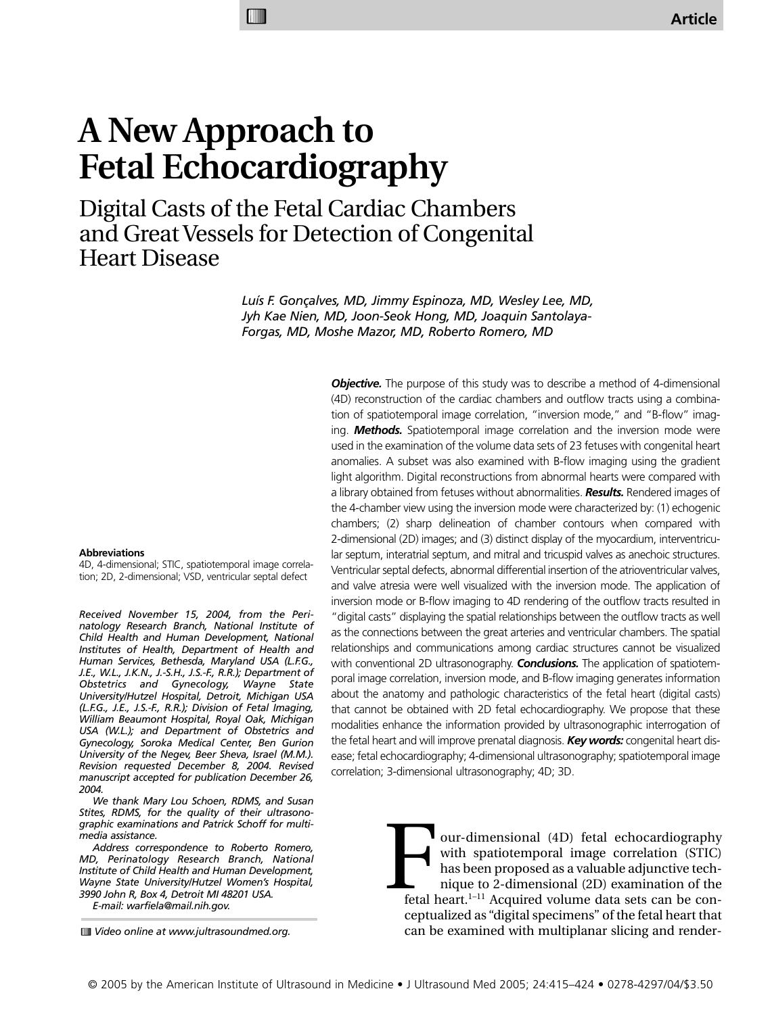# **A New Approach to Fetal Echocardiography**

**MIIII** 

Digital Casts of the Fetal Cardiac Chambers and Great Vessels for Detection of Congenital Heart Disease

> *Luís F. Gonçalves, MD, Jimmy Espinoza, MD, Wesley Lee, MD, Jyh Kae Nien, MD, Joon-Seok Hong, MD, Joaquin Santolaya-Forgas, MD, Moshe Mazor, MD, Roberto Romero, MD*

#### **Abbreviations**

4D, 4-dimensional; STIC, spatiotemporal image correlation; 2D, 2-dimensional; VSD, ventricular septal defect

*Received November 15, 2004, from the Perinatology Research Branch, National Institute of Child Health and Human Development, National Institutes of Health, Department of Health and Human Services, Bethesda, Maryland USA (L.F.G., J.E., W.L., J.K.N., J.-S.H., J.S.-F., R.R.); Department of Obstetrics and Gynecology, Wayne State University/Hutzel Hospital, Detroit, Michigan USA (L.F.G., J.E., J.S.-F., R.R.); Division of Fetal Imaging, William Beaumont Hospital, Royal Oak, Michigan USA (W.L.); and Department of Obstetrics and Gynecology, Soroka Medical Center, Ben Gurion University of the Negev, Beer Sheva, Israel (M.M.). Revision requested December 8, 2004. Revised manuscript accepted for publication December 26, 2004.*

*We thank Mary Lou Schoen, RDMS, and Susan Stites, RDMS, for the quality of their ultrasonographic examinations and Patrick Schoff for multimedia assistance.*

*Address correspondence to Roberto Romero, MD, Perinatology Research Branch, National Institute of Child Health and Human Development, Wayne State University/Hutzel Women's Hospital, 3990 John R, Box 4, Detroit MI 48201 USA.* 

*E-mail: warfiela@mail.nih.gov.*

(4D) reconstruction of the cardiac chambers and outflow tracts using a combination of spatiotemporal image correlation, "inversion mode," and "B-flow" imaging. *Methods.* Spatiotemporal image correlation and the inversion mode were used in the examination of the volume data sets of 23 fetuses with congenital heart anomalies. A subset was also examined with B-flow imaging using the gradient light algorithm. Digital reconstructions from abnormal hearts were compared with a library obtained from fetuses without abnormalities. *Results.* Rendered images of the 4-chamber view using the inversion mode were characterized by: (1) echogenic chambers; (2) sharp delineation of chamber contours when compared with 2-dimensional (2D) images; and (3) distinct display of the myocardium, interventricular septum, interatrial septum, and mitral and tricuspid valves as anechoic structures. Ventricular septal defects, abnormal differential insertion of the atrioventricular valves, and valve atresia were well visualized with the inversion mode. The application of inversion mode or B-flow imaging to 4D rendering of the outflow tracts resulted in "digital casts" displaying the spatial relationships between the outflow tracts as well as the connections between the great arteries and ventricular chambers. The spatial relationships and communications among cardiac structures cannot be visualized with conventional 2D ultrasonography. *Conclusions.* The application of spatiotemporal image correlation, inversion mode, and B-flow imaging generates information about the anatomy and pathologic characteristics of the fetal heart (digital casts) that cannot be obtained with 2D fetal echocardiography. We propose that these modalities enhance the information provided by ultrasonographic interrogation of the fetal heart and will improve prenatal diagnosis. *Key words:* congenital heart disease; fetal echocardiography; 4-dimensional ultrasonography; spatiotemporal image correlation; 3-dimensional ultrasonography; 4D; 3D.

**Objective.** The purpose of this study was to describe a method of 4-dimensional

our-dimensional (4D) fetal echocardiography with spatiotemporal image correlation (STIC) has been proposed as a valuable adjunctive technique to 2-dimensional (2D) examination of the fetal heart.<sup>1-11</sup> Acquired volume data sets can be conceptualized as "digital specimens" of the fetal heart that can be examined with multiplanar slicing and render- Fetal b

*Video online at www.jultrasoundmed.org.*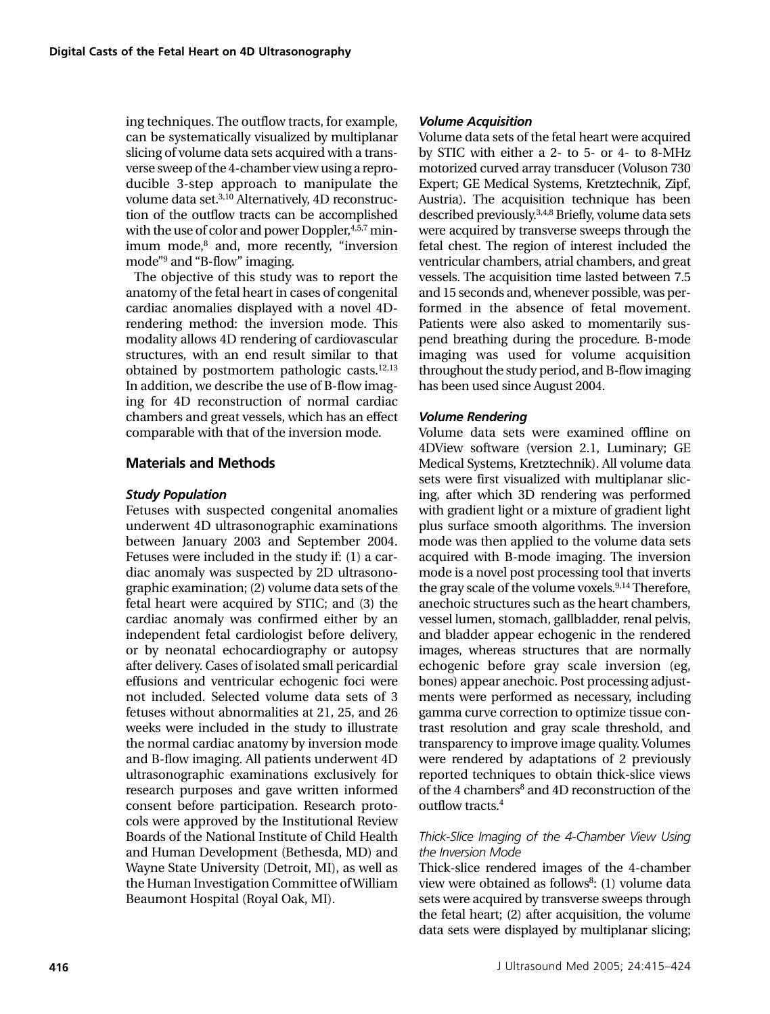ing techniques. The outflow tracts, for example, can be systematically visualized by multiplanar slicing of volume data sets acquired with a transverse sweep of the 4-chamber view using a reproducible 3-step approach to manipulate the volume data set.3,10 Alternatively, 4D reconstruction of the outflow tracts can be accomplished with the use of color and power Doppler, 4,5,7 minimum mode, $8$  and, more recently, "inversion mode"9 and "B-flow" imaging.

The objective of this study was to report the anatomy of the fetal heart in cases of congenital cardiac anomalies displayed with a novel 4Drendering method: the inversion mode. This modality allows 4D rendering of cardiovascular structures, with an end result similar to that obtained by postmortem pathologic casts.<sup>12,13</sup> In addition, we describe the use of B-flow imaging for 4D reconstruction of normal cardiac chambers and great vessels, which has an effect comparable with that of the inversion mode.

# **Materials and Methods**

### *Study Population*

Fetuses with suspected congenital anomalies underwent 4D ultrasonographic examinations between January 2003 and September 2004. Fetuses were included in the study if: (1) a cardiac anomaly was suspected by 2D ultrasonographic examination; (2) volume data sets of the fetal heart were acquired by STIC; and (3) the cardiac anomaly was confirmed either by an independent fetal cardiologist before delivery, or by neonatal echocardiography or autopsy after delivery. Cases of isolated small pericardial effusions and ventricular echogenic foci were not included. Selected volume data sets of 3 fetuses without abnormalities at 21, 25, and 26 weeks were included in the study to illustrate the normal cardiac anatomy by inversion mode and B-flow imaging. All patients underwent 4D ultrasonographic examinations exclusively for research purposes and gave written informed consent before participation. Research protocols were approved by the Institutional Review Boards of the National Institute of Child Health and Human Development (Bethesda, MD) and Wayne State University (Detroit, MI), as well as the Human Investigation Committee of William Beaumont Hospital (Royal Oak, MI).

### *Volume Acquisition*

Volume data sets of the fetal heart were acquired by STIC with either a 2- to 5- or 4- to 8-MHz motorized curved array transducer (Voluson 730 Expert; GE Medical Systems, Kretztechnik, Zipf, Austria). The acquisition technique has been described previously.3,4,8 Briefly, volume data sets were acquired by transverse sweeps through the fetal chest. The region of interest included the ventricular chambers, atrial chambers, and great vessels. The acquisition time lasted between 7.5 and 15 seconds and, whenever possible, was performed in the absence of fetal movement. Patients were also asked to momentarily suspend breathing during the procedure. B-mode imaging was used for volume acquisition throughout the study period, and B-flow imaging has been used since August 2004.

### *Volume Rendering*

Volume data sets were examined offline on 4DView software (version 2.1, Luminary; GE Medical Systems, Kretztechnik). All volume data sets were first visualized with multiplanar slicing, after which 3D rendering was performed with gradient light or a mixture of gradient light plus surface smooth algorithms. The inversion mode was then applied to the volume data sets acquired with B-mode imaging. The inversion mode is a novel post processing tool that inverts the gray scale of the volume voxels. $9,14$  Therefore, anechoic structures such as the heart chambers, vessel lumen, stomach, gallbladder, renal pelvis, and bladder appear echogenic in the rendered images, whereas structures that are normally echogenic before gray scale inversion (eg, bones) appear anechoic. Post processing adjustments were performed as necessary, including gamma curve correction to optimize tissue contrast resolution and gray scale threshold, and transparency to improve image quality. Volumes were rendered by adaptations of 2 previously reported techniques to obtain thick-slice views of the 4 chambers<sup>8</sup> and 4D reconstruction of the outflow tracts.4

#### *Thick-Slice Imaging of the 4-Chamber View Using the Inversion Mode*

Thick-slice rendered images of the 4-chamber view were obtained as follows<sup>8</sup>: (1) volume data sets were acquired by transverse sweeps through the fetal heart; (2) after acquisition, the volume data sets were displayed by multiplanar slicing;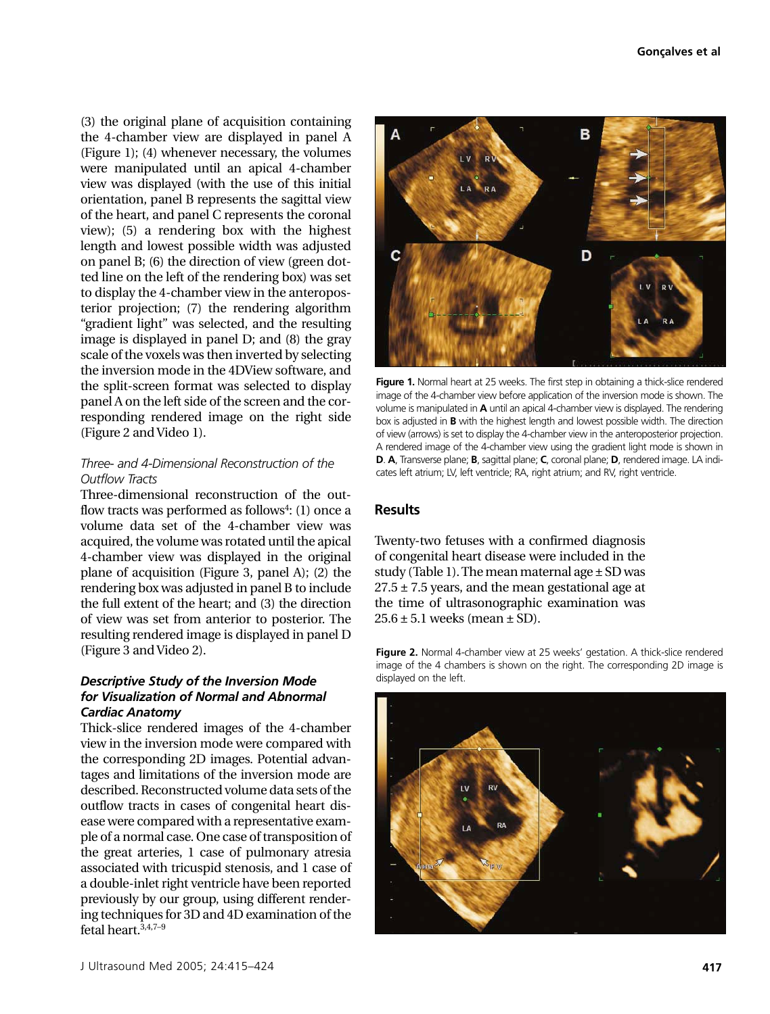(3) the original plane of acquisition containing the 4-chamber view are displayed in panel A (Figure 1); (4) whenever necessary, the volumes were manipulated until an apical 4-chamber view was displayed (with the use of this initial orientation, panel B represents the sagittal view of the heart, and panel C represents the coronal view); (5) a rendering box with the highest length and lowest possible width was adjusted on panel B; (6) the direction of view (green dotted line on the left of the rendering box) was set to display the 4-chamber view in the anteroposterior projection; (7) the rendering algorithm "gradient light" was selected, and the resulting image is displayed in panel D; and (8) the gray scale of the voxels was then inverted by selecting the inversion mode in the 4DView software, and the split-screen format was selected to display panel A on the left side of the screen and the corresponding rendered image on the right side (Figure 2 and Video 1).

### *Three- and 4-Dimensional Reconstruction of the Outflow Tracts*

Three-dimensional reconstruction of the outflow tracts was performed as follows<sup>4</sup>:  $(1)$  once a volume data set of the 4-chamber view was acquired, the volume was rotated until the apical 4-chamber view was displayed in the original plane of acquisition (Figure 3, panel A); (2) the rendering box was adjusted in panel B to include the full extent of the heart; and (3) the direction of view was set from anterior to posterior. The resulting rendered image is displayed in panel D (Figure 3 and Video 2).

#### *Descriptive Study of the Inversion Mode for Visualization of Normal and Abnormal Cardiac Anatomy*

Thick-slice rendered images of the 4-chamber view in the inversion mode were compared with the corresponding 2D images. Potential advantages and limitations of the inversion mode are described. Reconstructed volume data sets of the outflow tracts in cases of congenital heart disease were compared with a representative example of a normal case. One case of transposition of the great arteries, 1 case of pulmonary atresia associated with tricuspid stenosis, and 1 case of a double-inlet right ventricle have been reported previously by our group, using different rendering techniques for 3D and 4D examination of the fetal heart. $3,4,7-9$ 



**Figure 1.** Normal heart at 25 weeks. The first step in obtaining a thick-slice rendered image of the 4-chamber view before application of the inversion mode is shown. The volume is manipulated in **A** until an apical 4-chamber view is displayed. The rendering box is adjusted in **B** with the highest length and lowest possible width. The direction of view (arrows) is set to display the 4-chamber view in the anteroposterior projection. A rendered image of the 4-chamber view using the gradient light mode is shown in **D**. **A**, Transverse plane; **B**, sagittal plane; **C**, coronal plane; **D**, rendered image. LA indicates left atrium; LV, left ventricle; RA, right atrium; and RV, right ventricle.

# **Results**

Twenty-two fetuses with a confirmed diagnosis of congenital heart disease were included in the study (Table 1). The mean maternal age  $\pm$  SD was  $27.5 \pm 7.5$  years, and the mean gestational age at the time of ultrasonographic examination was  $25.6 \pm 5.1$  weeks (mean  $\pm$  SD).

**Figure 2.** Normal 4-chamber view at 25 weeks' gestation. A thick-slice rendered image of the 4 chambers is shown on the right. The corresponding 2D image is displayed on the left.

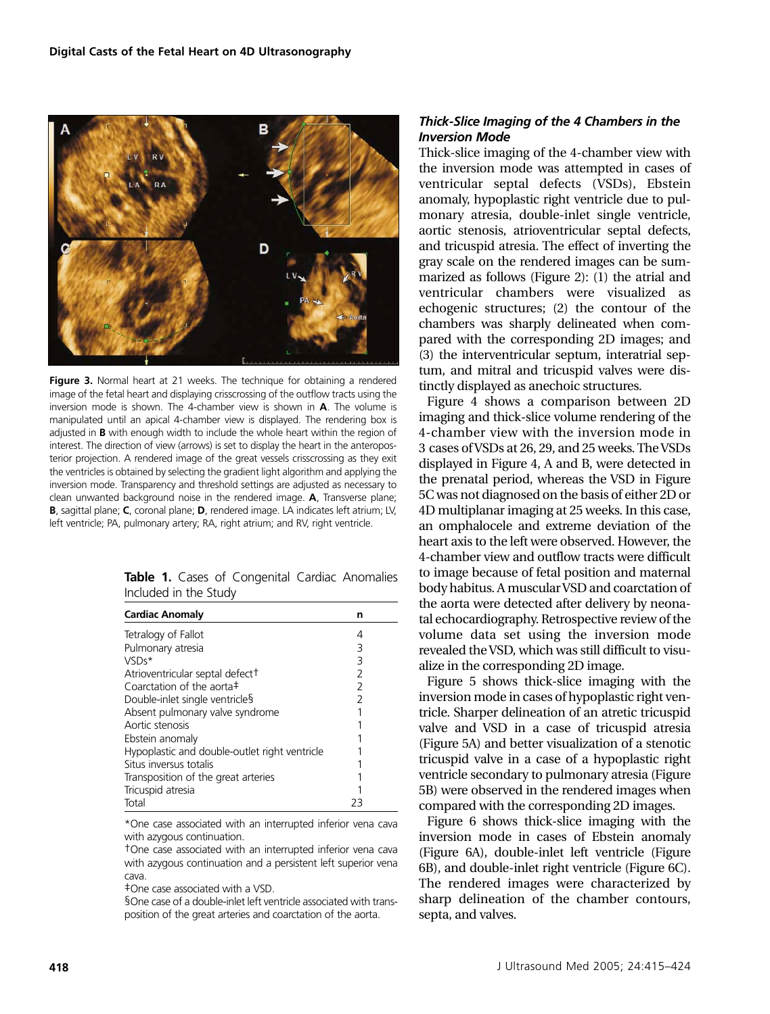

**Figure 3.** Normal heart at 21 weeks. The technique for obtaining a rendered image of the fetal heart and displaying crisscrossing of the outflow tracts using the inversion mode is shown. The 4-chamber view is shown in **A**. The volume is manipulated until an apical 4-chamber view is displayed. The rendering box is adjusted in **B** with enough width to include the whole heart within the region of interest. The direction of view (arrows) is set to display the heart in the anteroposterior projection. A rendered image of the great vessels crisscrossing as they exit the ventricles is obtained by selecting the gradient light algorithm and applying the inversion mode. Transparency and threshold settings are adjusted as necessary to clean unwanted background noise in the rendered image. **A**, Transverse plane; **B**, sagittal plane; **C**, coronal plane; **D**, rendered image. LA indicates left atrium; LV, left ventricle; PA, pulmonary artery; RA, right atrium; and RV, right ventricle.

|  |                       | Table 1. Cases of Congenital Cardiac Anomalies |  |
|--|-----------------------|------------------------------------------------|--|
|  | Included in the Study |                                                |  |

| <b>Cardiac Anomaly</b>                        | n              |
|-----------------------------------------------|----------------|
| Tetralogy of Fallot                           | 4              |
| Pulmonary atresia                             | 3              |
| VSDs*                                         | 3              |
| Atrioventricular septal defect <sup>+</sup>   | $\overline{2}$ |
| Coarctation of the aorta $\ddagger$           | 2              |
| Double-inlet single ventricles                | 2              |
| Absent pulmonary valve syndrome               |                |
| Aortic stenosis                               |                |
| Ebstein anomaly                               |                |
| Hypoplastic and double-outlet right ventricle |                |
| Situs inversus totalis                        |                |
| Transposition of the great arteries           |                |
| Tricuspid atresia                             |                |
| Total                                         | $'$ -          |

\*One case associated with an interrupted inferior vena cava with azygous continuation.

†One case associated with an interrupted inferior vena cava with azygous continuation and a persistent left superior vena cava.

‡One case associated with a VSD.

§One case of a double-inlet left ventricle associated with transposition of the great arteries and coarctation of the aorta.

#### *Thick-Slice Imaging of the 4 Chambers in the Inversion Mode*

Thick-slice imaging of the 4-chamber view with the inversion mode was attempted in cases of ventricular septal defects (VSDs), Ebstein anomaly, hypoplastic right ventricle due to pulmonary atresia, double-inlet single ventricle, aortic stenosis, atrioventricular septal defects, and tricuspid atresia. The effect of inverting the gray scale on the rendered images can be summarized as follows (Figure 2): (1) the atrial and ventricular chambers were visualized as echogenic structures; (2) the contour of the chambers was sharply delineated when compared with the corresponding 2D images; and (3) the interventricular septum, interatrial septum, and mitral and tricuspid valves were distinctly displayed as anechoic structures.

Figure 4 shows a comparison between 2D imaging and thick-slice volume rendering of the 4-chamber view with the inversion mode in 3 cases of VSDs at 26, 29, and 25 weeks. The VSDs displayed in Figure 4, A and B, were detected in the prenatal period, whereas the VSD in Figure 5C was not diagnosed on the basis of either 2D or 4D multiplanar imaging at 25 weeks. In this case, an omphalocele and extreme deviation of the heart axis to the left were observed. However, the 4-chamber view and outflow tracts were difficult to image because of fetal position and maternal body habitus. A muscular VSD and coarctation of the aorta were detected after delivery by neonatal echocardiography. Retrospective review of the volume data set using the inversion mode revealed the VSD, which was still difficult to visualize in the corresponding 2D image.

Figure 5 shows thick-slice imaging with the inversion mode in cases of hypoplastic right ventricle. Sharper delineation of an atretic tricuspid valve and VSD in a case of tricuspid atresia (Figure 5A) and better visualization of a stenotic tricuspid valve in a case of a hypoplastic right ventricle secondary to pulmonary atresia (Figure 5B) were observed in the rendered images when compared with the corresponding 2D images.

Figure 6 shows thick-slice imaging with the inversion mode in cases of Ebstein anomaly (Figure 6A), double-inlet left ventricle (Figure 6B), and double-inlet right ventricle (Figure 6C). The rendered images were characterized by sharp delineation of the chamber contours, septa, and valves.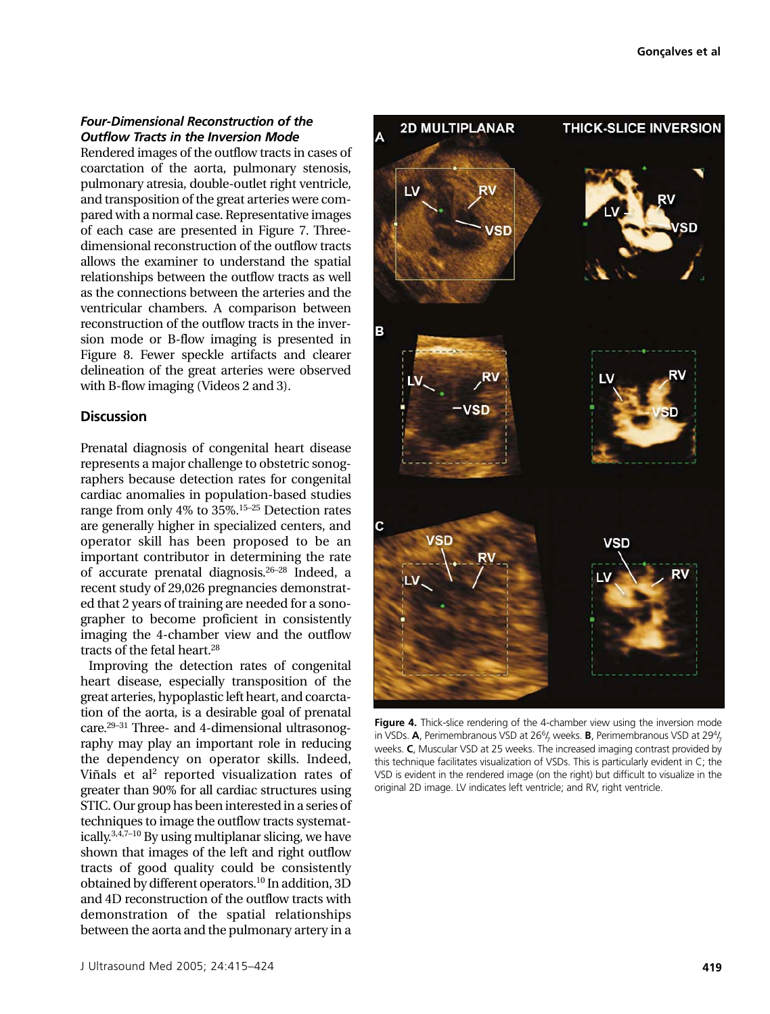#### *Four-Dimensional Reconstruction of the Outflow Tracts in the Inversion Mode*

Rendered images of the outflow tracts in cases of coarctation of the aorta, pulmonary stenosis, pulmonary atresia, double-outlet right ventricle, and transposition of the great arteries were compared with a normal case. Representative images of each case are presented in Figure 7. Threedimensional reconstruction of the outflow tracts allows the examiner to understand the spatial relationships between the outflow tracts as well as the connections between the arteries and the ventricular chambers. A comparison between reconstruction of the outflow tracts in the inversion mode or B-flow imaging is presented in Figure 8. Fewer speckle artifacts and clearer delineation of the great arteries were observed with B-flow imaging (Videos 2 and 3).

# **Discussion**

Prenatal diagnosis of congenital heart disease represents a major challenge to obstetric sonographers because detection rates for congenital cardiac anomalies in population-based studies range from only 4% to 35%.15–25 Detection rates are generally higher in specialized centers, and operator skill has been proposed to be an important contributor in determining the rate of accurate prenatal diagnosis.26–28 Indeed, a recent study of 29,026 pregnancies demonstrated that 2 years of training are needed for a sonographer to become proficient in consistently imaging the 4-chamber view and the outflow tracts of the fetal heart.28

Improving the detection rates of congenital heart disease, especially transposition of the great arteries, hypoplastic left heart, and coarctation of the aorta, is a desirable goal of prenatal care.29–31 Three- and 4-dimensional ultrasonography may play an important role in reducing the dependency on operator skills. Indeed, Viñals et al<sup>2</sup> reported visualization rates of greater than 90% for all cardiac structures using STIC. Our group has been interested in a series of techniques to image the outflow tracts systematically.3,4,7–10 By using multiplanar slicing, we have shown that images of the left and right outflow tracts of good quality could be consistently obtained by different operators.10 In addition, 3D and 4D reconstruction of the outflow tracts with demonstration of the spatial relationships between the aorta and the pulmonary artery in a



**Figure 4.** Thick-slice rendering of the 4-chamber view using the inversion mode in VSDs. **A**, Perimembranous VSD at 26<sup>6</sup>/<sub>7</sub> weeks. **B**, Perimembranous VSD at 29<sup>4</sup>/<sub>7</sub> weeks. **C**, Muscular VSD at 25 weeks. The increased imaging contrast provided by this technique facilitates visualization of VSDs. This is particularly evident in C; the VSD is evident in the rendered image (on the right) but difficult to visualize in the original 2D image. LV indicates left ventricle; and RV, right ventricle.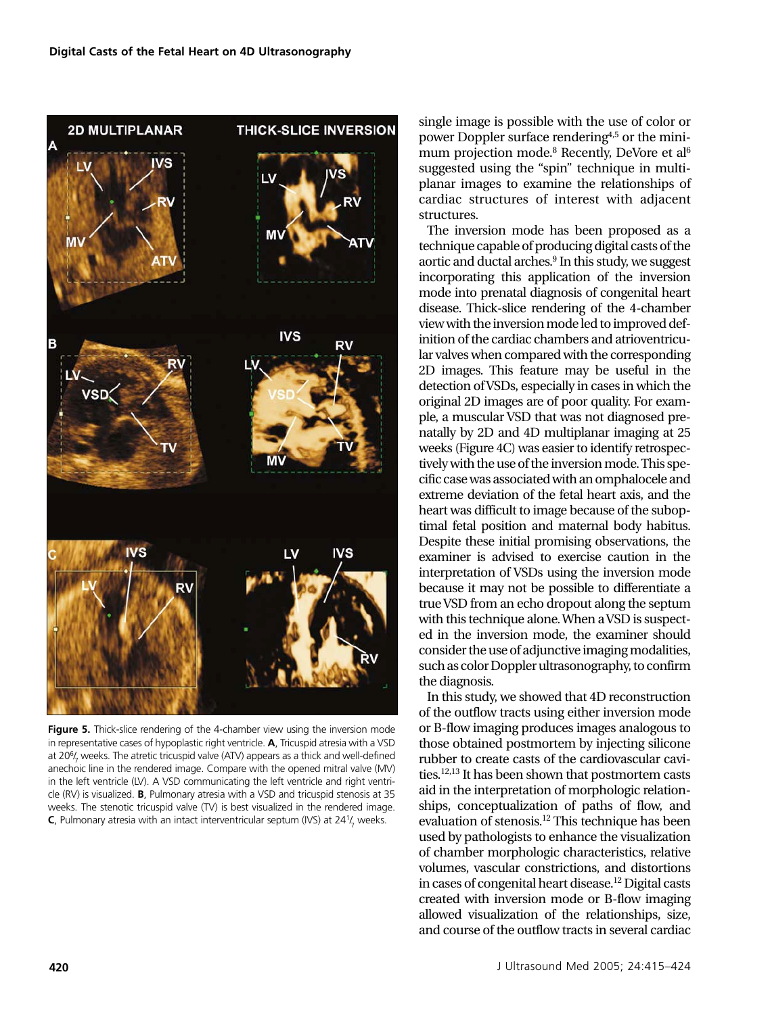

**Figure 5.** Thick-slice rendering of the 4-chamber view using the inversion mode in representative cases of hypoplastic right ventricle. **A**, Tricuspid atresia with a VSD at 20<sup>6</sup>/<sub>7</sub> weeks. The atretic tricuspid valve (ATV) appears as a thick and well-defined anechoic line in the rendered image. Compare with the opened mitral valve (MV) in the left ventricle (LV). A VSD communicating the left ventricle and right ventricle (RV) is visualized. **B**, Pulmonary atresia with a VSD and tricuspid stenosis at 35 weeks. The stenotic tricuspid valve (TV) is best visualized in the rendered image. **C**, Pulmonary atresia with an intact interventricular septum (IVS) at 24<sup>1</sup>/<sub>7</sub> weeks.

single image is possible with the use of color or power Doppler surface rendering4,5 or the minimum projection mode.<sup>8</sup> Recently, DeVore et al<sup>6</sup> suggested using the "spin" technique in multiplanar images to examine the relationships of cardiac structures of interest with adjacent structures.

The inversion mode has been proposed as a technique capable of producing digital casts of the aortic and ductal arches.<sup>9</sup> In this study, we suggest incorporating this application of the inversion mode into prenatal diagnosis of congenital heart disease. Thick-slice rendering of the 4-chamber view with the inversion mode led to improved definition of the cardiac chambers and atrioventricular valves when compared with the corresponding 2D images. This feature may be useful in the detection of VSDs, especially in cases in which the original 2D images are of poor quality. For example, a muscular VSD that was not diagnosed prenatally by 2D and 4D multiplanar imaging at 25 weeks (Figure 4C) was easier to identify retrospectively with the use of the inversion mode. This specific case was associated with an omphalocele and extreme deviation of the fetal heart axis, and the heart was difficult to image because of the suboptimal fetal position and maternal body habitus. Despite these initial promising observations, the examiner is advised to exercise caution in the interpretation of VSDs using the inversion mode because it may not be possible to differentiate a true VSD from an echo dropout along the septum with this technique alone. When a VSD is suspected in the inversion mode, the examiner should consider the use of adjunctive imaging modalities, such as color Doppler ultrasonography, to confirm the diagnosis.

In this study, we showed that 4D reconstruction of the outflow tracts using either inversion mode or B-flow imaging produces images analogous to those obtained postmortem by injecting silicone rubber to create casts of the cardiovascular cavities.12,13 It has been shown that postmortem casts aid in the interpretation of morphologic relationships, conceptualization of paths of flow, and evaluation of stenosis.12 This technique has been used by pathologists to enhance the visualization of chamber morphologic characteristics, relative volumes, vascular constrictions, and distortions in cases of congenital heart disease.<sup>12</sup> Digital casts created with inversion mode or B-flow imaging allowed visualization of the relationships, size, and course of the outflow tracts in several cardiac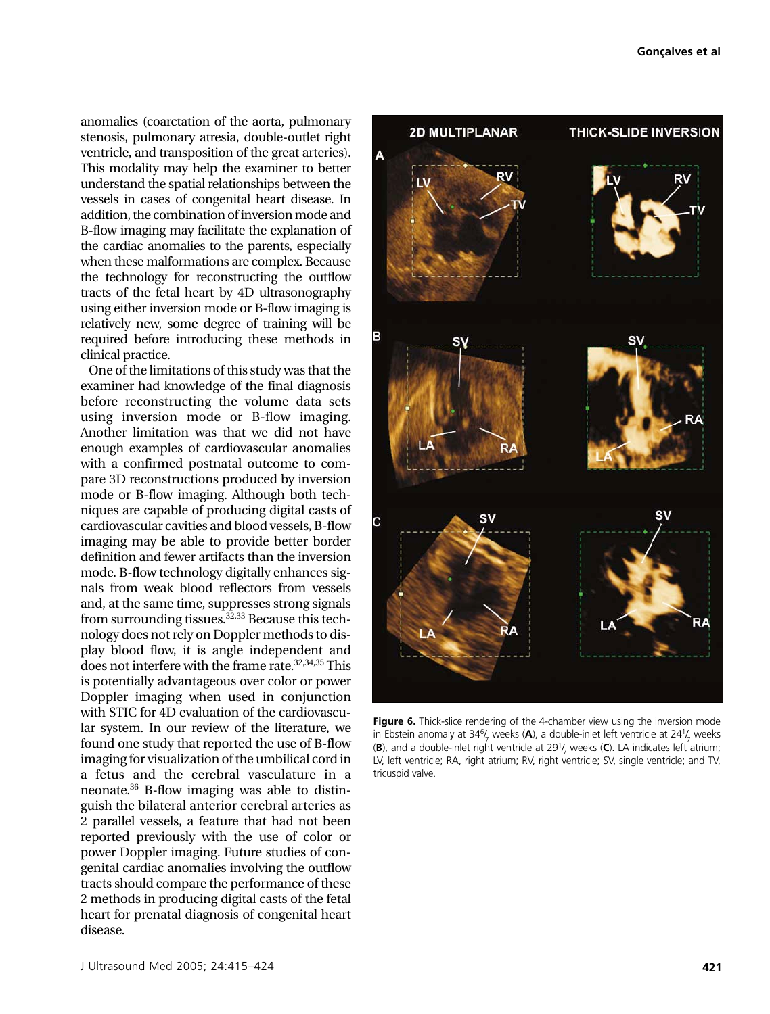anomalies (coarctation of the aorta, pulmonary stenosis, pulmonary atresia, double-outlet right ventricle, and transposition of the great arteries). This modality may help the examiner to better understand the spatial relationships between the vessels in cases of congenital heart disease. In addition, the combination of inversion mode and B-flow imaging may facilitate the explanation of the cardiac anomalies to the parents, especially when these malformations are complex. Because the technology for reconstructing the outflow tracts of the fetal heart by 4D ultrasonography using either inversion mode or B-flow imaging is relatively new, some degree of training will be required before introducing these methods in clinical practice.

One of the limitations of this study was that the examiner had knowledge of the final diagnosis before reconstructing the volume data sets using inversion mode or B-flow imaging. Another limitation was that we did not have enough examples of cardiovascular anomalies with a confirmed postnatal outcome to compare 3D reconstructions produced by inversion mode or B-flow imaging. Although both techniques are capable of producing digital casts of cardiovascular cavities and blood vessels, B-flow imaging may be able to provide better border definition and fewer artifacts than the inversion mode. B-flow technology digitally enhances signals from weak blood reflectors from vessels and, at the same time, suppresses strong signals from surrounding tissues.  $32,33$  Because this technology does not rely on Doppler methods to display blood flow, it is angle independent and does not interfere with the frame rate.<sup>32,34,35</sup> This is potentially advantageous over color or power Doppler imaging when used in conjunction with STIC for 4D evaluation of the cardiovascular system. In our review of the literature, we found one study that reported the use of B-flow imaging for visualization of the umbilical cord in a fetus and the cerebral vasculature in a neonate.36 B-flow imaging was able to distinguish the bilateral anterior cerebral arteries as 2 parallel vessels, a feature that had not been reported previously with the use of color or power Doppler imaging. Future studies of congenital cardiac anomalies involving the outflow tracts should compare the performance of these 2 methods in producing digital casts of the fetal heart for prenatal diagnosis of congenital heart disease.



Figure 6. Thick-slice rendering of the 4-chamber view using the inversion mode in Ebstein anomaly at 34<sup>6</sup>/<sub>7</sub> weeks (**A**), a double-inlet left ventricle at 24<sup>1</sup>/<sub>7</sub> weeks (**B**), and a double-inlet right ventricle at 291/ <sup>7</sup> weeks (**C**). LA indicates left atrium; LV, left ventricle; RA, right atrium; RV, right ventricle; SV, single ventricle; and TV, tricuspid valve.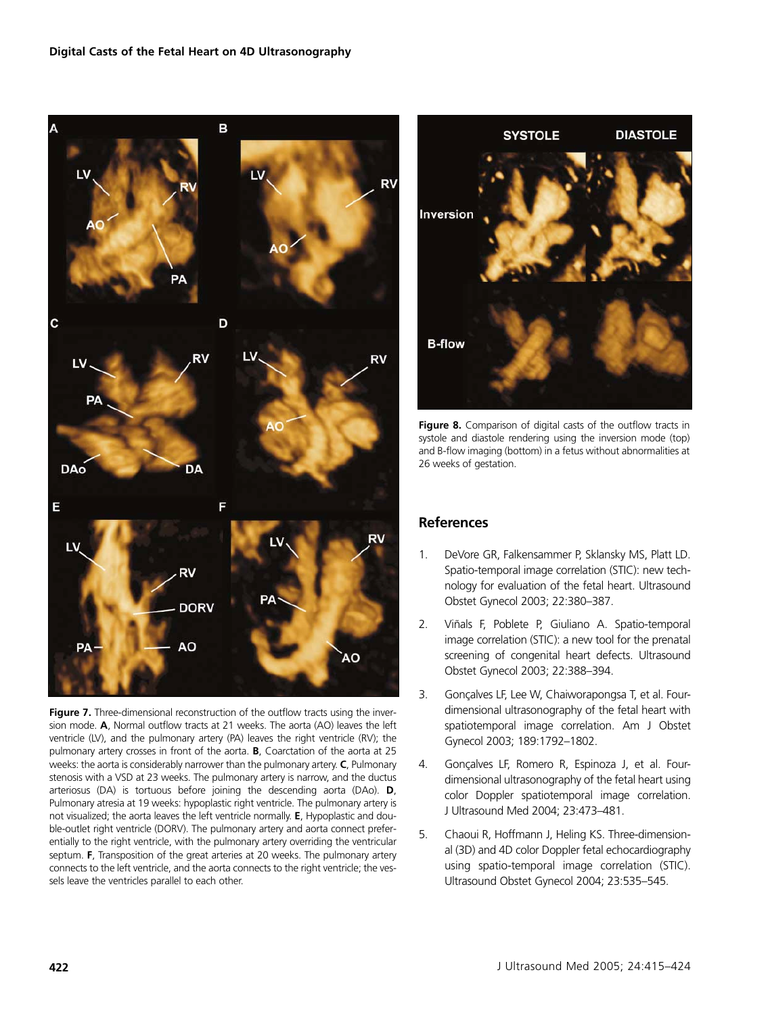

**Figure 7.** Three-dimensional reconstruction of the outflow tracts using the inversion mode. **A**, Normal outflow tracts at 21 weeks. The aorta (AO) leaves the left ventricle (LV), and the pulmonary artery (PA) leaves the right ventricle (RV); the pulmonary artery crosses in front of the aorta. **B**, Coarctation of the aorta at 25 weeks: the aorta is considerably narrower than the pulmonary artery. **C**, Pulmonary stenosis with a VSD at 23 weeks. The pulmonary artery is narrow, and the ductus arteriosus (DA) is tortuous before joining the descending aorta (DAo). **D**, Pulmonary atresia at 19 weeks: hypoplastic right ventricle. The pulmonary artery is not visualized; the aorta leaves the left ventricle normally. **E**, Hypoplastic and double-outlet right ventricle (DORV). The pulmonary artery and aorta connect preferentially to the right ventricle, with the pulmonary artery overriding the ventricular septum. **F**, Transposition of the great arteries at 20 weeks. The pulmonary artery connects to the left ventricle, and the aorta connects to the right ventricle; the vessels leave the ventricles parallel to each other.



**Figure 8.** Comparison of digital casts of the outflow tracts in systole and diastole rendering using the inversion mode (top) and B-flow imaging (bottom) in a fetus without abnormalities at 26 weeks of gestation.

# **References**

- 1. DeVore GR, Falkensammer P, Sklansky MS, Platt LD. Spatio-temporal image correlation (STIC): new technology for evaluation of the fetal heart. Ultrasound Obstet Gynecol 2003; 22:380–387.
- 2. Viñals F, Poblete P, Giuliano A. Spatio-temporal image correlation (STIC): a new tool for the prenatal screening of congenital heart defects. Ultrasound Obstet Gynecol 2003; 22:388–394.
- 3. Gonçalves LF, Lee W, Chaiworapongsa T, et al. Fourdimensional ultrasonography of the fetal heart with spatiotemporal image correlation. Am J Obstet Gynecol 2003; 189:1792–1802.
- 4. Gonçalves LF, Romero R, Espinoza J, et al. Fourdimensional ultrasonography of the fetal heart using color Doppler spatiotemporal image correlation. J Ultrasound Med 2004; 23:473–481.
- 5. Chaoui R, Hoffmann J, Heling KS. Three-dimensional (3D) and 4D color Doppler fetal echocardiography using spatio-temporal image correlation (STIC). Ultrasound Obstet Gynecol 2004; 23:535–545.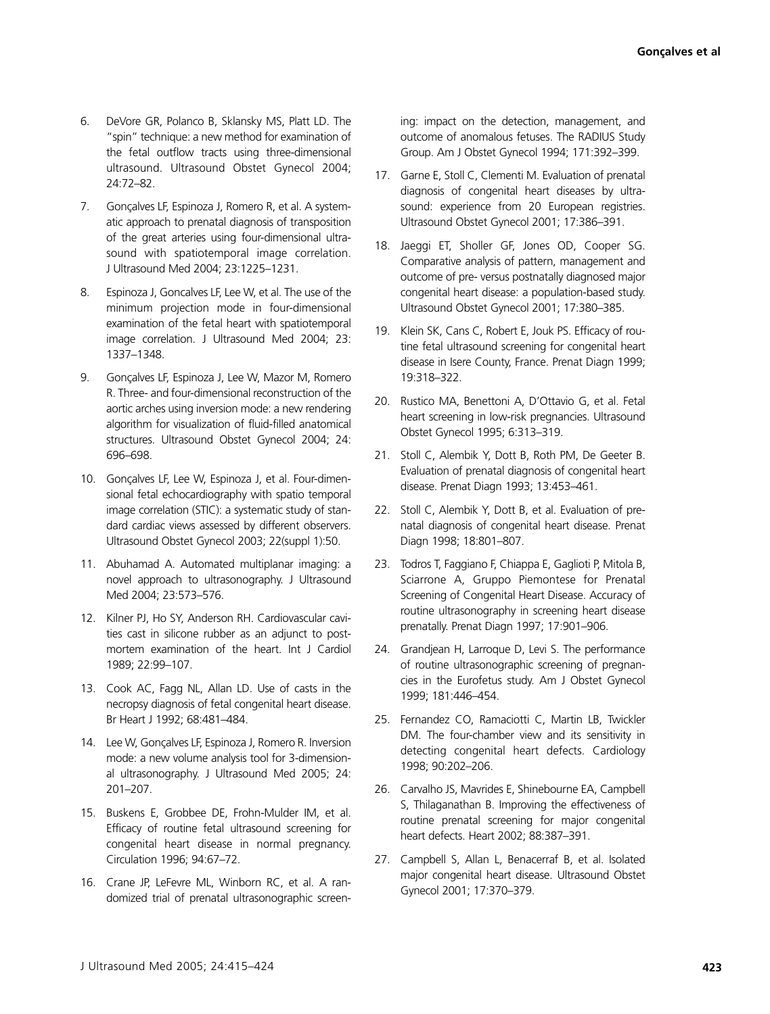- 6. DeVore GR, Polanco B, Sklansky MS, Platt LD. The "spin" technique: a new method for examination of the fetal outflow tracts using three-dimensional ultrasound. Ultrasound Obstet Gynecol 2004; 24:72–82.
- 7. Gonçalves LF, Espinoza J, Romero R, et al. A systematic approach to prenatal diagnosis of transposition of the great arteries using four-dimensional ultrasound with spatiotemporal image correlation. J Ultrasound Med 2004; 23:1225–1231.
- 8. Espinoza J, Goncalves LF, Lee W, et al. The use of the minimum projection mode in four-dimensional examination of the fetal heart with spatiotemporal image correlation. J Ultrasound Med 2004; 23: 1337–1348.
- 9. Gonçalves LF, Espinoza J, Lee W, Mazor M, Romero R. Three- and four-dimensional reconstruction of the aortic arches using inversion mode: a new rendering algorithm for visualization of fluid-filled anatomical structures. Ultrasound Obstet Gynecol 2004; 24: 696–698.
- 10. Gonçalves LF, Lee W, Espinoza J, et al. Four-dimensional fetal echocardiography with spatio temporal image correlation (STIC): a systematic study of standard cardiac views assessed by different observers. Ultrasound Obstet Gynecol 2003; 22(suppl 1):50.
- 11. Abuhamad A. Automated multiplanar imaging: a novel approach to ultrasonography. J Ultrasound Med 2004; 23:573–576.
- 12. Kilner PJ, Ho SY, Anderson RH. Cardiovascular cavities cast in silicone rubber as an adjunct to postmortem examination of the heart. Int J Cardiol 1989; 22:99–107.
- 13. Cook AC, Fagg NL, Allan LD. Use of casts in the necropsy diagnosis of fetal congenital heart disease. Br Heart J 1992; 68:481–484.
- 14. Lee W, Gonçalves LF, Espinoza J, Romero R. Inversion mode: a new volume analysis tool for 3-dimensional ultrasonography. J Ultrasound Med 2005; 24: 201–207.
- 15. Buskens E, Grobbee DE, Frohn-Mulder IM, et al. Efficacy of routine fetal ultrasound screening for congenital heart disease in normal pregnancy. Circulation 1996; 94:67–72.
- 16. Crane JP, LeFevre ML, Winborn RC, et al. A randomized trial of prenatal ultrasonographic screen-

ing: impact on the detection, management, and outcome of anomalous fetuses. The RADIUS Study Group. Am J Obstet Gynecol 1994; 171:392–399.

- 17. Garne E, Stoll C, Clementi M. Evaluation of prenatal diagnosis of congenital heart diseases by ultrasound: experience from 20 European registries. Ultrasound Obstet Gynecol 2001; 17:386–391.
- 18. Jaeggi ET, Sholler GF, Jones OD, Cooper SG. Comparative analysis of pattern, management and outcome of pre- versus postnatally diagnosed major congenital heart disease: a population-based study. Ultrasound Obstet Gynecol 2001; 17:380–385.
- 19. Klein SK, Cans C, Robert E, Jouk PS. Efficacy of routine fetal ultrasound screening for congenital heart disease in Isere County, France. Prenat Diagn 1999; 19:318–322.
- 20. Rustico MA, Benettoni A, D'Ottavio G, et al. Fetal heart screening in low-risk pregnancies. Ultrasound Obstet Gynecol 1995; 6:313–319.
- 21. Stoll C, Alembik Y, Dott B, Roth PM, De Geeter B. Evaluation of prenatal diagnosis of congenital heart disease. Prenat Diagn 1993; 13:453–461.
- 22. Stoll C, Alembik Y, Dott B, et al. Evaluation of prenatal diagnosis of congenital heart disease. Prenat Diagn 1998; 18:801–807.
- 23. Todros T, Faggiano F, Chiappa E, Gaglioti P, Mitola B, Sciarrone A, Gruppo Piemontese for Prenatal Screening of Congenital Heart Disease. Accuracy of routine ultrasonography in screening heart disease prenatally. Prenat Diagn 1997; 17:901–906.
- 24. Grandjean H, Larroque D, Levi S. The performance of routine ultrasonographic screening of pregnancies in the Eurofetus study. Am J Obstet Gynecol 1999; 181:446–454.
- 25. Fernandez CO, Ramaciotti C, Martin LB, Twickler DM. The four-chamber view and its sensitivity in detecting congenital heart defects. Cardiology 1998; 90:202–206.
- 26. Carvalho JS, Mavrides E, Shinebourne EA, Campbell S, Thilaganathan B. Improving the effectiveness of routine prenatal screening for major congenital heart defects. Heart 2002; 88:387–391.
- 27. Campbell S, Allan L, Benacerraf B, et al. Isolated major congenital heart disease. Ultrasound Obstet Gynecol 2001; 17:370–379.